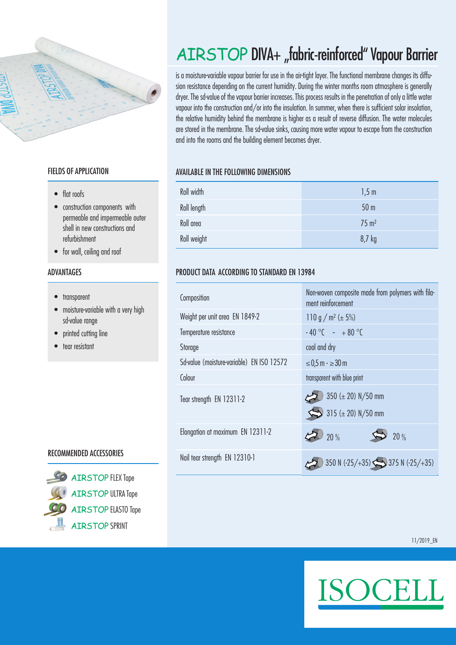

### FIELDS OF APPLICATION

- flat roofs
- construction components with permeable and impermeable outer shell in new constructions and refurbishment
- for wall, ceiling and roof

### ADVANTAGES

- transparent
- moisture-variable with a very high sd-value range
- printed cutting line
- tear resistant

### RECOMMENDED ACCESSORIES



**AIRSTOP FLEX Tape** AIRSTOP ULTRA Tape AIRSTOP ELASTO Tape ATRSTOP SPRINT

# AIRSTOP DIVA+ "fabric-reinforced" Vapour Barrier

is a moisture-variable vapour barrier for use in the air-tight layer. The functional membrane changes its diffusion resistance depending on the current humidity. During the winter months room atmosphere is generally dryer. The sd-value of the vapour barrier increases. This process results in the penetration of only a little water vapour into the construction and/or into the insulation. In summer, when there is sufficient solar insolation, the relative humidity behind the membrane is higher as a result of reverse diffusion. The water molecules are stored in the membrane. The sd-value sinks, causing more water vapour to escape from the construction and into the rooms and the building element becomes dryer.

### AVAILABLE IN THE FOLLOWING DIMENSIONS

| Roll width  | 1,5m             |
|-------------|------------------|
| Roll length | 50 <sub>m</sub>  |
| Roll area   | $75 \text{ m}^2$ |
| Roll weight | 8,7 kg           |

### PRODUCT DATA ACCORDING TO STANDARD EN 13984

| Composition                               | Non-woven composite made from polymers with fila-<br>ment reinforcement |
|-------------------------------------------|-------------------------------------------------------------------------|
| Weight per unit area EN 1849-2            | 110 g / m <sup>2</sup> ( $\pm$ 5%)                                      |
| Temperature resistance                    | $-40^{\circ}$ C - $+80^{\circ}$ C                                       |
| Storage                                   | cool and dry                                                            |
| Sd-value (moisture-variable) EN ISO 12572 | $≤ 0.5$ m $\cdot$ $≥ 30$ m                                              |
| Colour                                    | transparent with blue print                                             |
| Tear strength EN 12311-2                  | $350 (\pm 20) N/50 mm$<br>$\sum$ 315 (± 20) N/50 mm                     |
| Elongation at maximum EN 12311-2          | 20%<br>20%                                                              |
| Nail tear strength EN 12310-1             | 350 N (-25/+35) $\sum$ 375 N (-25/+35)                                  |

11/2019\_EN